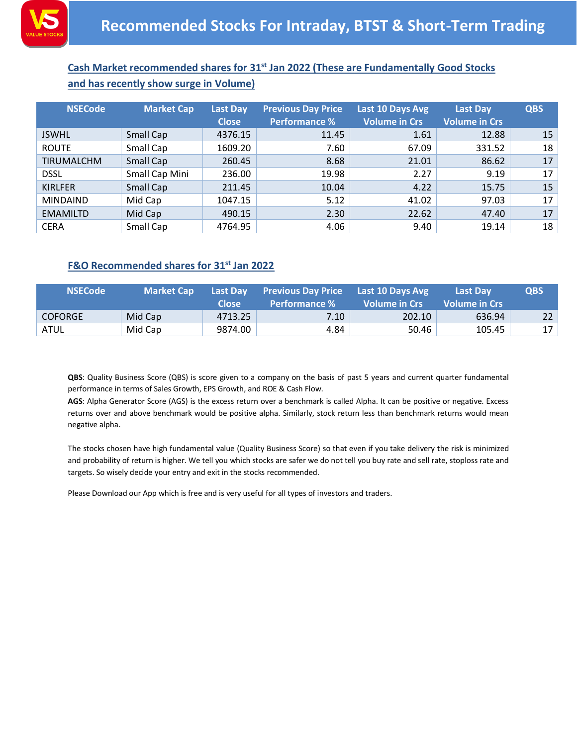

## **Cash Market recommended shares for 31st Jan 2022 (These are Fundamentally Good Stocks and has recently show surge in Volume)**

| <b>NSECode</b>    | <b>Market Cap</b> | <b>Last Day</b><br><b>Close</b> | <b>Previous Day Price</b><br><b>Performance %</b> | Last 10 Days Avg<br><b>Volume in Crs</b> | <b>Last Day</b><br><b>Volume in Crs</b> | <b>QBS</b> |
|-------------------|-------------------|---------------------------------|---------------------------------------------------|------------------------------------------|-----------------------------------------|------------|
| <b>JSWHL</b>      | Small Cap         | 4376.15                         | 11.45                                             | 1.61                                     | 12.88                                   | 15         |
| <b>ROUTE</b>      | Small Cap         | 1609.20                         | 7.60                                              | 67.09                                    | 331.52                                  | 18         |
| <b>TIRUMALCHM</b> | Small Cap         | 260.45                          | 8.68                                              | 21.01                                    | 86.62                                   | 17         |
| <b>DSSL</b>       | Small Cap Mini    | 236.00                          | 19.98                                             | 2.27                                     | 9.19                                    | 17         |
| <b>KIRLFER</b>    | Small Cap         | 211.45                          | 10.04                                             | 4.22                                     | 15.75                                   | 15         |
| <b>MINDAIND</b>   | Mid Cap           | 1047.15                         | 5.12                                              | 41.02                                    | 97.03                                   | 17         |
| <b>EMAMILTD</b>   | Mid Cap           | 490.15                          | 2.30                                              | 22.62                                    | 47.40                                   | 17         |
| <b>CERA</b>       | Small Cap         | 4764.95                         | 4.06                                              | 9.40                                     | 19.14                                   | 18         |

## **F&O Recommended shares for 31st Jan 2022**

| <b>NSECode</b> | <b>Market Cap</b> | <b>Last Dav</b><br>Close | <b>Previous Day Price</b><br>Performance % | Last 10 Days Avg<br>' Volume in Crs | <b>Last Dav</b><br>l Volume in Crs i | <b>QBS</b> |
|----------------|-------------------|--------------------------|--------------------------------------------|-------------------------------------|--------------------------------------|------------|
| <b>COFORGE</b> | Mid Cap           | 4713.25                  | 7.10                                       | 202.10                              | 636.94                               | 22         |
| ATUL           | Mid Cap           | 9874.00                  | 4.84                                       | 50.46                               | 105.45                               | 17         |

**QBS**: Quality Business Score (QBS) is score given to a company on the basis of past 5 years and current quarter fundamental performance in terms of Sales Growth, EPS Growth, and ROE & Cash Flow.

**AGS**: Alpha Generator Score (AGS) is the excess return over a benchmark is called Alpha. It can be positive or negative. Excess returns over and above benchmark would be positive alpha. Similarly, stock return less than benchmark returns would mean negative alpha.

The stocks chosen have high fundamental value (Quality Business Score) so that even if you take delivery the risk is minimized and probability of return is higher. We tell you which stocks are safer we do not tell you buy rate and sell rate, stoploss rate and targets. So wisely decide your entry and exit in the stocks recommended.

Please Download our App which is free and is very useful for all types of investors and traders.